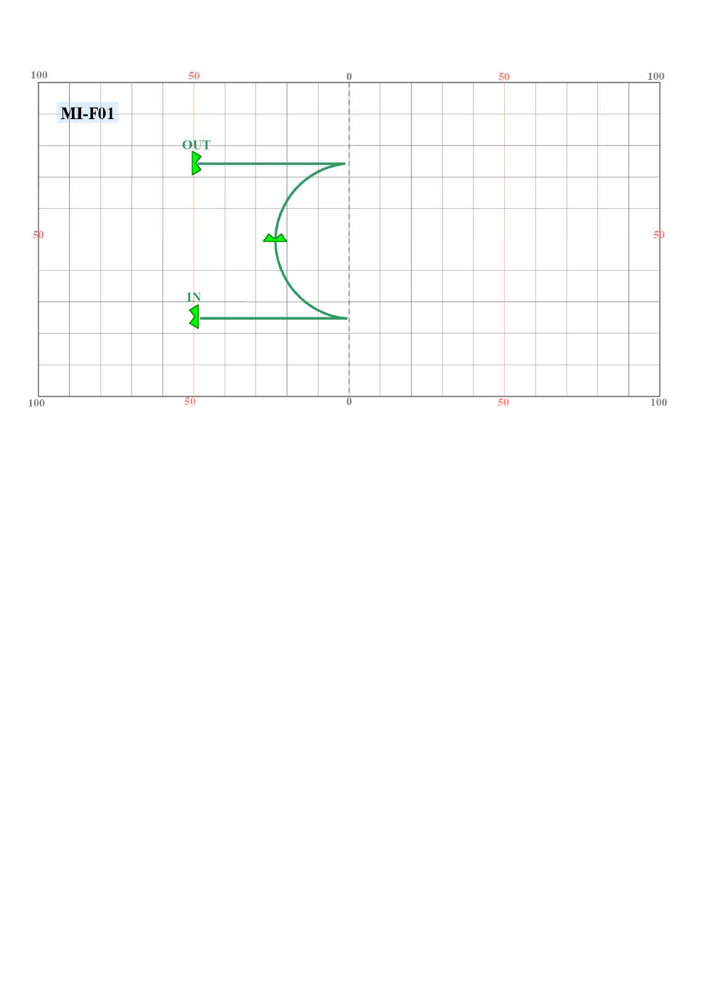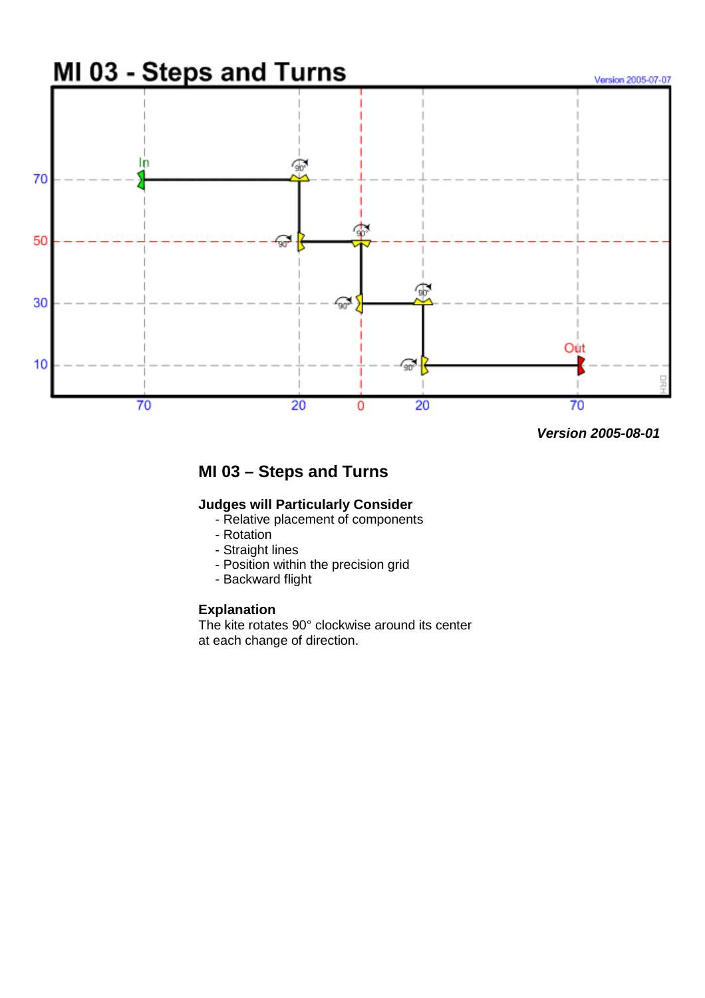

 **Version 2005-08-01**

# **MI 03 – Steps and Turns**

#### **Judges will Particularly Consider**

- Relative placement of components
- Rotation
- Straight lines
- Position within the precision grid
- Backward flight

#### **Explanation**

The kite rotates 90° clockwise around its center at each change of direction.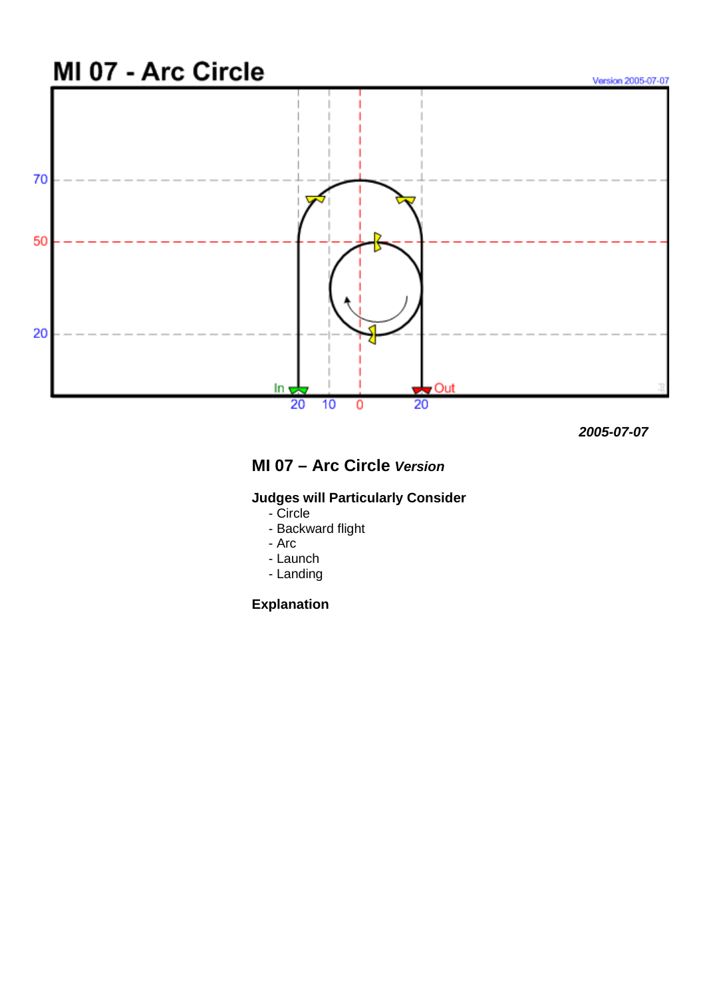

 **2005-07-07**

# **MI 07 – Arc Circle Version**

### **Judges will Particularly Consider**

- Circle
- Backward flight
- Arc
- Launch
- Landing

## **Explanation**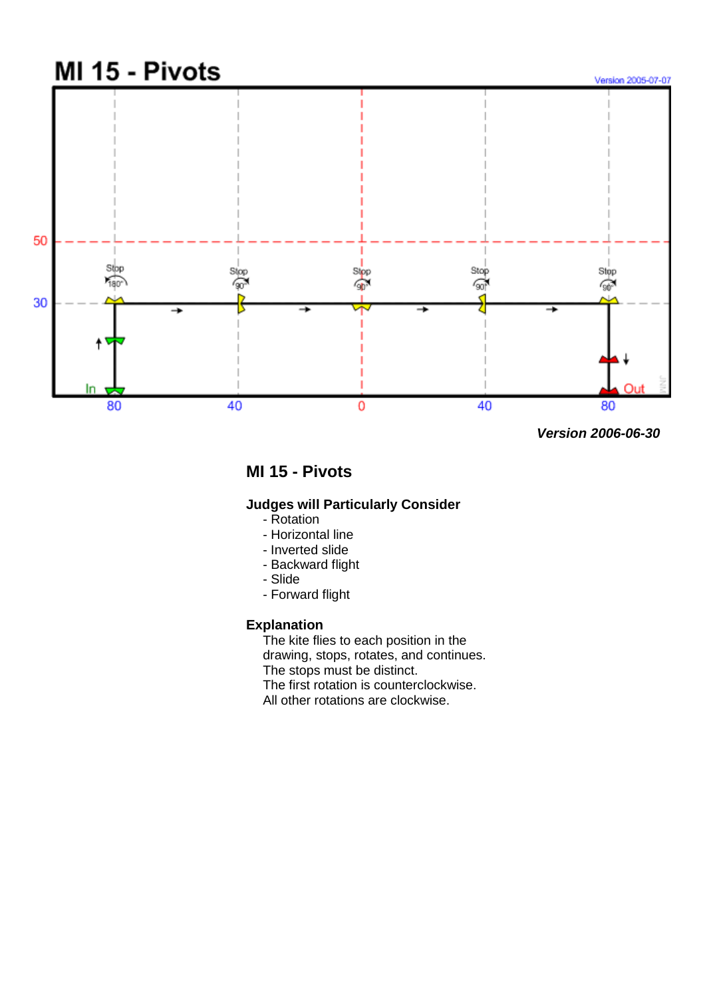

**MI 15 - Pivots** 

### **Judges will Particularly Consider**

- Rotation
- Horizontal line
- Inverted slide
- Backward flight
- Slide
- Forward flight

#### **Explanation**

The kite flies to each position in the drawing, stops, rotates, and continues. The stops must be distinct. The first rotation is counterclockwise.

All other rotations are clockwise.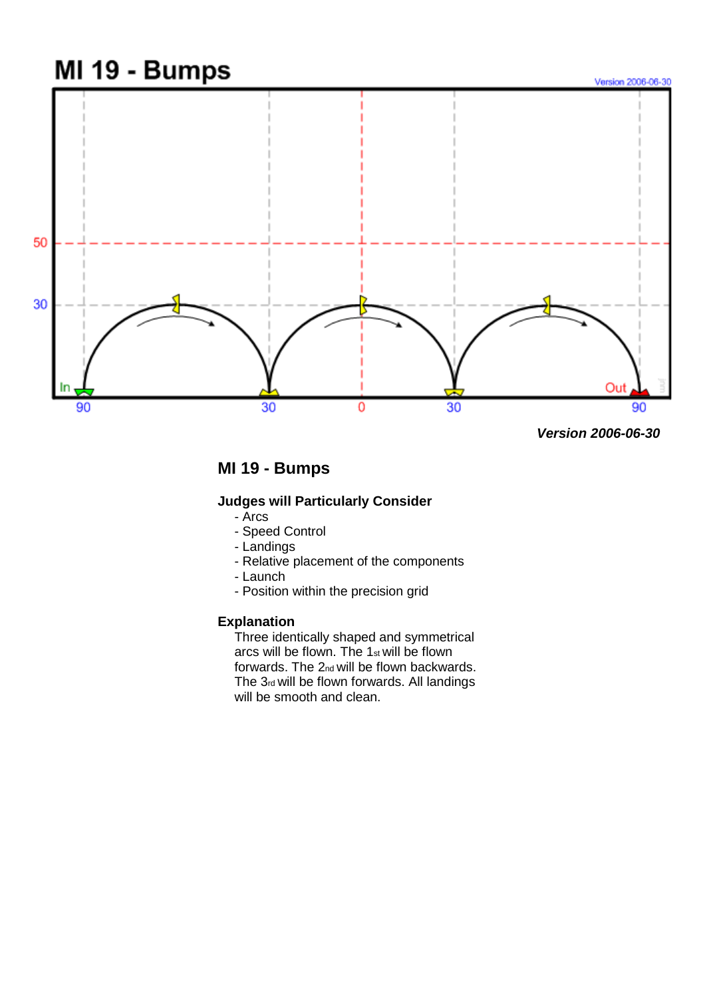

 **Version 2006-06-30**

# **MI 19 - Bumps**

### **Judges will Particularly Consider**

- Arcs
- Speed Control
- Landings
- Relative placement of the components
- Launch
- Position within the precision grid

#### **Explanation**

Three identically shaped and symmetrical arcs will be flown. The 1st will be flown forwards. The 2nd will be flown backwards. The 3rd will be flown forwards. All landings will be smooth and clean.